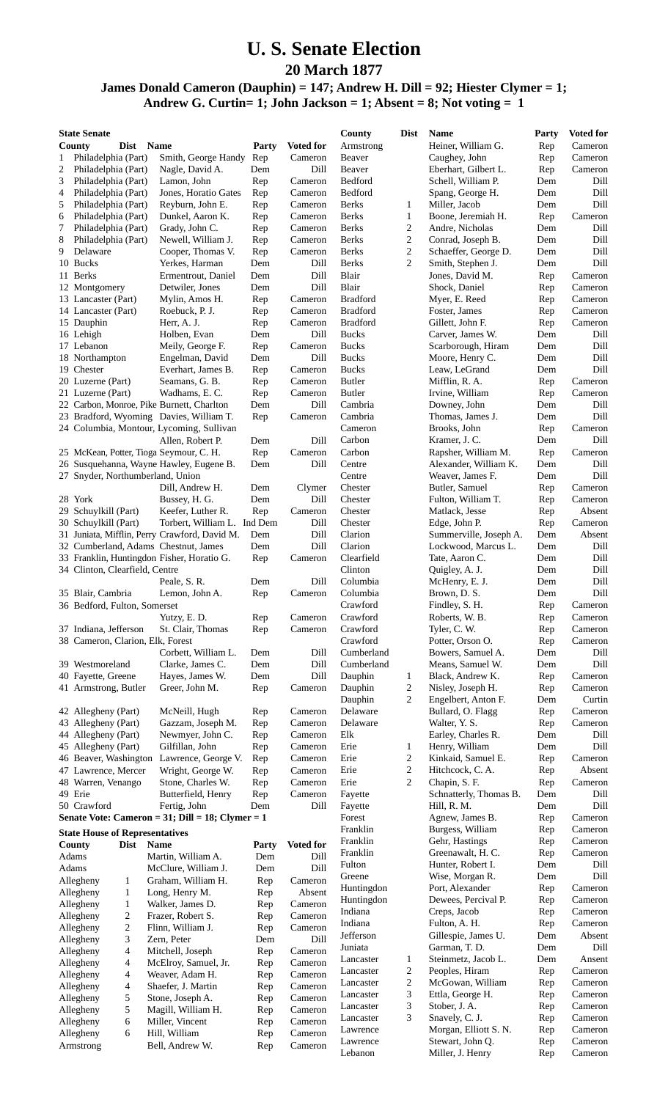## **U. S. Senate Election**

**20 March 1877**

**James Donald Cameron (Dauphin) = 147; Andrew H. Dill = 92; Hiester Clymer = 1;**

**Andrew G. Curtin= 1; John Jackson = 1; Absent = 8; Not voting = 1**

| <b>State Senate</b>                                      |                                     |            |                    | County               | Dist                | <b>Name</b>                              | Party                   | <b>Voted for</b>  |
|----------------------------------------------------------|-------------------------------------|------------|--------------------|----------------------|---------------------|------------------------------------------|-------------------------|-------------------|
| County<br>Dist                                           | <b>Name</b>                         | Party      | <b>Voted for</b>   | Armstrong            |                     | Heiner, William G.                       | Rep                     | Cameron           |
| 1<br>Philadelphia (Part)                                 | Smith, George Handy                 | Rep        | Cameron            | Beaver               |                     | Caughey, John                            | Rep                     | Cameron           |
| $\overline{c}$<br>Philadelphia (Part)                    | Nagle, David A.                     | Dem        | Dill               | Beaver               |                     | Eberhart, Gilbert L.                     | Rep                     | Cameron           |
| 3<br>Philadelphia (Part)                                 | Lamon, John<br>Jones, Horatio Gates | Rep        | Cameron<br>Cameron | Bedford<br>Bedford   |                     | Schell, William P.                       | Dem                     | Dill<br>Dill      |
| 4<br>Philadelphia (Part)<br>5<br>Philadelphia (Part)     | Reyburn, John E.                    | Rep<br>Rep | Cameron            | <b>Berks</b>         | 1                   | Spang, George H.<br>Miller, Jacob        | Dem<br>Dem              | Dill              |
| 6<br>Philadelphia (Part)                                 | Dunkel, Aaron K.                    | Rep        | Cameron            | Berks                | $\mathbf{1}$        | Boone, Jeremiah H.                       | Rep                     | Cameron           |
| 7<br>Philadelphia (Part)                                 | Grady, John C.                      | Rep        | Cameron            | Berks                | 2                   | Andre, Nicholas                          | Dem                     | Dill              |
| 8<br>Philadelphia (Part)                                 | Newell, William J.                  | Rep        | Cameron            | <b>Berks</b>         | $\overline{c}$      | Conrad, Joseph B.                        | Dem                     | Dill              |
| 9<br>Delaware                                            | Cooper, Thomas V.                   | Rep        | Cameron            | <b>Berks</b>         | $\sqrt{2}$          | Schaeffer, George D.                     | Dem                     | Dill              |
| 10 Bucks                                                 | Yerkes, Harman                      | Dem        | Dill               | <b>Berks</b>         | $\overline{2}$      | Smith, Stephen J.                        | Dem                     | Dill              |
| 11 Berks                                                 | Ermentrout, Daniel                  | Dem        | Dill               | Blair                |                     | Jones, David M.                          | Rep                     | Cameron           |
| 12 Montgomery                                            | Detwiler, Jones                     | Dem        | Dill               | Blair                |                     | Shock, Daniel                            | Rep                     | Cameron           |
| 13 Lancaster (Part)                                      | Mylin, Amos H.                      | Rep        | Cameron            | <b>Bradford</b>      |                     | Myer, E. Reed                            | Rep                     | Cameron           |
| 14 Lancaster (Part)                                      | Roebuck, P. J.                      | Rep        | Cameron            | <b>Bradford</b>      |                     | Foster, James                            | Rep                     | Cameron           |
| 15 Dauphin                                               | Herr, A. J.                         | Rep        | Cameron            | <b>Bradford</b>      |                     | Gillett, John F.                         | Rep                     | Cameron           |
| 16 Lehigh                                                | Holben, Evan                        | Dem        | Dill               | <b>Bucks</b>         |                     | Carver, James W.                         | Dem                     | Dill              |
| 17 Lebanon                                               | Meily, George F.                    | Rep        | Cameron            | <b>Bucks</b>         |                     | Scarborough, Hiram                       | Dem                     | Dill              |
| 18 Northampton                                           | Engelman, David                     | Dem        | Dill               | <b>Bucks</b>         |                     | Moore, Henry C.                          | Dem                     | Dill              |
| 19 Chester                                               | Everhart, James B.                  | Rep        | Cameron            | <b>Bucks</b>         |                     | Leaw, LeGrand                            | Dem                     | Dill              |
| 20 Luzerne (Part)                                        | Seamans, G. B.                      | Rep        | Cameron            | <b>Butler</b>        |                     | Mifflin, R. A.                           | Rep                     | Cameron           |
| 21 Luzerne (Part)                                        | Wadhams, E. C.                      | Rep        | Cameron            | <b>Butler</b>        |                     | Irvine, William                          | Rep                     | Cameron           |
| 22 Carbon, Monroe, Pike Burnett, Charlton                |                                     | Dem        | Dill               | Cambria              |                     | Downey, John                             | Dem                     | Dill              |
| 23 Bradford, Wyoming Davies, William T.                  |                                     | Rep        | Cameron            | Cambria<br>Cameron   |                     | Thomas, James J.<br>Brooks, John         | Dem                     | Dill<br>Cameron   |
| 24 Columbia, Montour, Lycoming, Sullivan                 | Allen, Robert P.                    | Dem        | Dill               | Carbon               |                     | Kramer, J. C.                            | Rep<br>Dem              | Dill              |
| 25 McKean, Potter, Tioga Seymour, C. H.                  |                                     | Rep        | Cameron            | Carbon               |                     | Rapsher, William M.                      | Rep                     | Cameron           |
| 26 Susquehanna, Wayne Hawley, Eugene B.                  |                                     | Dem        | Dill               | Centre               |                     | Alexander, William K.                    | Dem                     | Dill              |
| 27 Snyder, Northumberland, Union                         |                                     |            |                    | Centre               |                     | Weaver, James F.                         | Dem                     | Dill              |
|                                                          | Dill, Andrew H.                     | Dem        | Clymer             | Chester              |                     | Butler, Samuel                           | Rep                     | Cameron           |
| 28 York                                                  | Bussey, H. G.                       | Dem        | Dill               | Chester              |                     | Fulton, William T.                       | Rep                     | Cameron           |
| 29 Schuylkill (Part)                                     | Keefer, Luther R.                   | Rep        | Cameron            | Chester              |                     | Matlack, Jesse                           | Rep                     | Absent            |
| 30 Schuylkill (Part)                                     | Torbert, William L. Ind Dem         |            | Dill               | Chester              |                     | Edge, John P.                            | Rep                     | Cameron           |
| 31 Juniata, Mifflin, Perry Crawford, David M.            |                                     | Dem        | Dill               | Clarion              |                     | Summerville, Joseph A.                   | Dem                     | Absent            |
| 32 Cumberland, Adams Chestnut, James                     |                                     | Dem        | Dill               | Clarion              |                     | Lockwood, Marcus L.                      | $\mathop{\mathrm{Dem}}$ | Dill              |
| 33 Franklin, Huntingdon Fisher, Horatio G.               |                                     | Rep        | Cameron            | Clearfield           |                     | Tate, Aaron C.                           | Dem                     | Dill              |
| 34 Clinton, Clearfield, Centre                           |                                     |            |                    | Clinton              |                     | Quigley, A. J.                           | Dem                     | Dill              |
|                                                          | Peale, S. R.                        | Dem        | Dill               | Columbia             |                     | McHenry, E. J.                           | Dem                     | Dill              |
| 35 Blair, Cambria                                        | Lemon, John A.                      | Rep        | Cameron            | Columbia             |                     | Brown, D. S.                             | Dem                     | Dill              |
| 36 Bedford, Fulton, Somerset                             |                                     |            |                    | Crawford             |                     | Findley, S. H.                           | Rep                     | Cameron           |
|                                                          | Yutzy, E. D.                        | Rep        | Cameron            | Crawford             |                     | Roberts, W. B.                           | Rep                     | Cameron           |
| 37 Indiana, Jefferson                                    | St. Clair, Thomas                   | Rep        | Cameron            | Crawford             |                     | Tyler, C. W.                             | Rep                     | Cameron           |
| 38 Cameron, Clarion, Elk, Forest                         |                                     |            |                    | Crawford             |                     | Potter, Orson O.                         | Rep                     | Cameron           |
|                                                          | Corbett, William L.                 | Dem        | Dill               | Cumberland           |                     | Bowers, Samuel A.                        | Dem                     | Dill              |
| 39 Westmoreland                                          | Clarke, James C.                    | Dem        | Dill               | Cumberland           |                     | Means, Samuel W.                         | Dem                     | Dill              |
| 40 Fayette, Greene                                       | Hayes, James W.                     | Dem        | Dill               | Dauphin              | $\mathbf{1}$        | Black, Andrew K.                         | Rep                     | Cameron           |
| 41 Armstrong, Butler                                     | Greer, John M.                      | Rep        | Cameron            | Dauphin              | $\overline{2}$<br>2 | Nisley, Joseph H.<br>Engelbert, Anton F. | Rep                     | Cameron           |
|                                                          |                                     |            | Cameron            | Dauphin<br>Delaware  |                     |                                          | Dem                     | Curtin<br>Cameron |
| 42 Allegheny (Part)<br>43 Allegheny (Part)               | McNeill, Hugh<br>Gazzam, Joseph M.  | Rep<br>Rep | Cameron            | Delaware             |                     | Bullard, O. Flagg<br>Walter, Y. S.       | Rep<br>Rep              | Cameron           |
| 44 Allegheny (Part)                                      | Newmyer, John C.                    | Rep        | Cameron            | Elk                  |                     | Earley, Charles R.                       | Dem                     | Dill              |
| 45 Allegheny (Part)                                      | Gilfillan, John                     | Rep        | Cameron            | Erie                 | 1                   | Henry, William                           | Dem                     | Dill              |
| 46 Beaver, Washington                                    | Lawrence, George V.                 | Rep        | Cameron            | Erie                 | $\overline{c}$      | Kinkaid, Samuel E.                       | Rep                     | Cameron           |
| 47 Lawrence, Mercer                                      | Wright, George W.                   | Rep        | Cameron            | Erie                 | $\overline{c}$      | Hitchcock, C.A.                          | Rep                     | Absent            |
| 48 Warren, Venango                                       | Stone, Charles W.                   | Rep        | Cameron            | Erie                 | 2                   | Chapin, S. F.                            | Rep                     | Cameron           |
| 49 Erie                                                  | Butterfield, Henry                  | Rep        | Cameron            | Fayette              |                     | Schnatterly, Thomas B.                   | Dem                     | Dill              |
| 50 Crawford                                              | Fertig, John                        | Dem        | Dill               | Fayette              |                     | Hill, R. M.                              | Dem                     | Dill              |
| Senate Vote: Cameron = $31$ ; Dill = $18$ ; Clymer = $1$ |                                     |            |                    | Forest               |                     | Agnew, James B.                          | Rep                     | Cameron           |
| <b>State House of Representatives</b>                    |                                     |            |                    | Franklin             |                     | Burgess, William                         | Rep                     | Cameron           |
| County<br><b>Dist</b>                                    | <b>Name</b>                         | Party      | <b>Voted for</b>   | Franklin             |                     | Gehr, Hastings                           | Rep                     | Cameron           |
| Adams                                                    | Martin, William A.                  | Dem        | Dill               | Franklin             |                     | Greenawalt, H. C.                        | Rep                     | Cameron           |
| Adams                                                    | McClure, William J.                 | Dem        | Dill               | Fulton               |                     | Hunter, Robert I.                        | Dem                     | Dill              |
| Allegheny<br>1                                           | Graham, William H.                  | Rep        | Cameron            | Greene               |                     | Wise, Morgan R.                          | Dem                     | Dill              |
| Allegheny<br>1                                           | Long, Henry M.                      | Rep        | Absent             | Huntingdon           |                     | Port, Alexander                          | Rep                     | Cameron           |
| $\mathbf{1}$<br>Allegheny                                | Walker, James D.                    | Rep        | Cameron            | Huntingdon           |                     | Dewees, Percival P.                      | Rep                     | Cameron           |
| Allegheny<br>2                                           | Frazer, Robert S.                   | Rep        | Cameron            | Indiana              |                     | Creps, Jacob                             | Rep                     | Cameron           |
| $\overline{c}$<br>Allegheny                              | Flinn, William J.                   | Rep        | Cameron            | Indiana              |                     | Fulton, A. H.                            | Rep                     | Cameron           |
| 3<br>Allegheny                                           | Zern, Peter                         | Dem        | Dill               | Jefferson            |                     | Gillespie, James U.                      | Dem                     | Absent            |
| 4<br>Allegheny                                           | Mitchell, Joseph                    | Rep        | Cameron            | Juniata<br>Lancaster |                     | Garman, T. D.<br>Steinmetz, Jacob L.     | Dem<br>Dem              | Dill<br>Ansent    |
| Allegheny<br>4                                           | McElroy, Samuel, Jr.                | Rep        | Cameron            | Lancaster            | $\mathbf{1}$<br>2   | Peoples, Hiram                           | Rep                     | Cameron           |
| Allegheny<br>4                                           | Weaver, Adam H.                     | Rep        | Cameron            | Lancaster            | 2                   | McGowan, William                         | Rep                     | Cameron           |
| Allegheny<br>4                                           | Shaefer, J. Martin                  | Rep        | Cameron            | Lancaster            | 3                   | Ettla, George H.                         | Rep                     | Cameron           |
| 5<br>Allegheny                                           | Stone, Joseph A.                    | Rep        | Cameron            | Lancaster            | 3                   | Stober, J. A.                            | Rep                     | Cameron           |
| 5<br>Allegheny                                           | Magill, William H.                  | Rep        | Cameron            | Lancaster            | 3                   | Snavely, C. J.                           | Rep                     | Cameron           |
| Allegheny<br>6<br>Allegheny<br>6                         | Miller, Vincent<br>Hill, William    | Rep        | Cameron<br>Cameron | Lawrence             |                     | Morgan, Elliott S. N.                    | Rep                     | Cameron           |
| Armstrong                                                | Bell, Andrew W.                     | Rep<br>Rep | Cameron            | Lawrence             |                     | Stewart, John Q.                         | Rep                     | Cameron           |
|                                                          |                                     |            |                    | Lebanon              |                     | Miller, J. Henry                         | Rep                     | Cameron           |